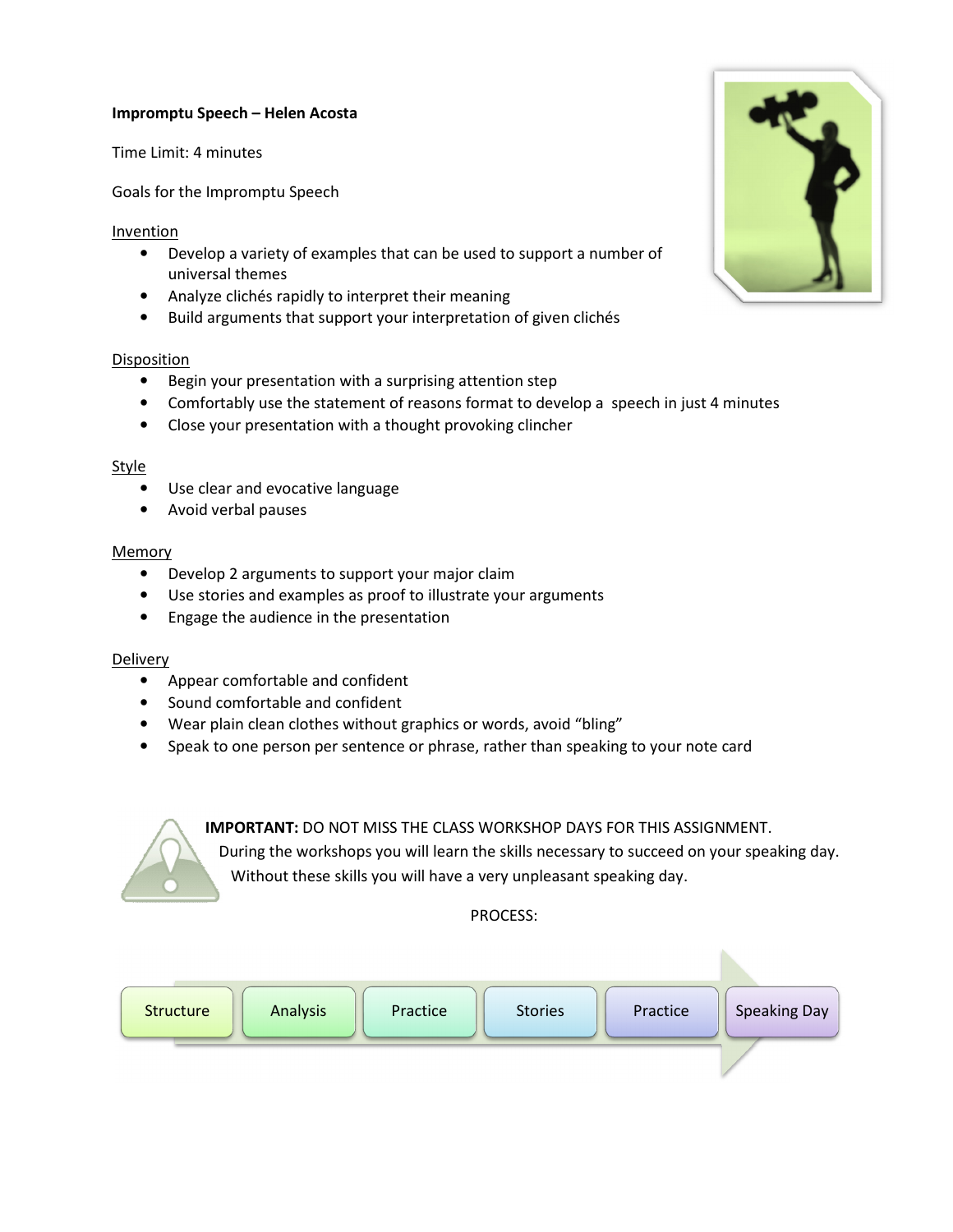# Impromptu Speech – Helen Acosta

Time Limit: 4 minutes

Goals for the Impromptu Speech

## **Invention**

- Develop a variety of examples that can be used to support a number of universal themes
- Analyze clichés rapidly to interpret their meaning
- Build arguments that support your interpretation of given clichés

# **Disposition**

- Begin your presentation with a surprising attention step
- Comfortably use the statement of reasons format to develop a speech in just 4 minutes
- Close your presentation with a thought provoking clincher

## Style

- Use clear and evocative language
- Avoid verbal pauses

## **Memory**

- Develop 2 arguments to support your major claim
- Use stories and examples as proof to illustrate your arguments
- Engage the audience in the presentation

#### **Delivery**

- Appear comfortable and confident
- Sound comfortable and confident
- Wear plain clean clothes without graphics or words, avoid "bling"
- Speak to one person per sentence or phrase, rather than speaking to your note card

IMPORTANT: DO NOT MISS THE CLASS WORKSHOP DAYS FOR THIS ASSIGNMENT.

During the workshops you will learn the skills necessary to succeed on your speaking day. Without these skills you will have a very unpleasant speaking day.

PROCESS:



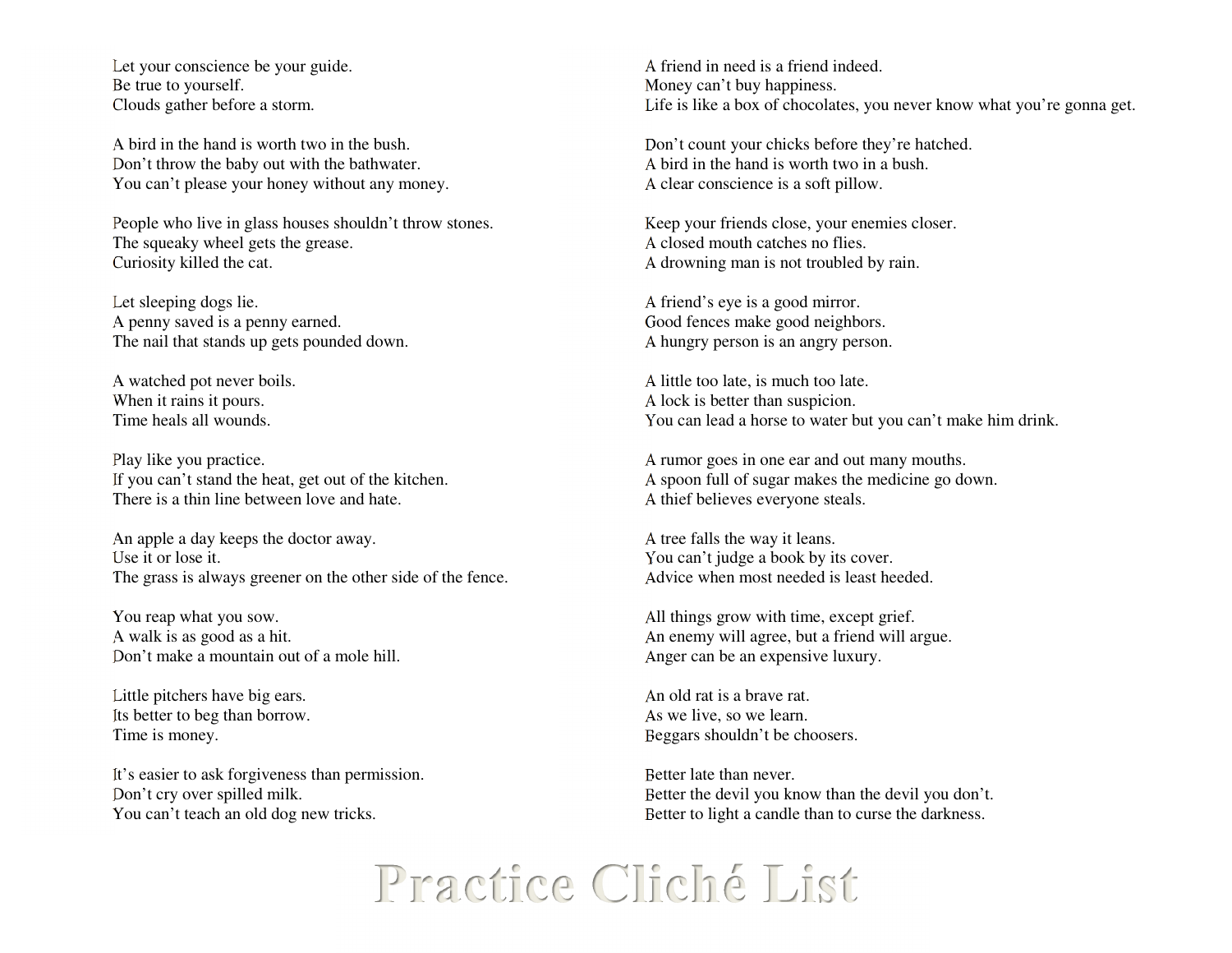Let your conscience be your guide.Be true to yourself. Clouds gather before a storm.

A bird in the hand is worth two in the bush. Don't throw the baby out with the bathwater. You can't please your honey without any money.

People who live in glass houses shouldn't throw stones. The squeaky wheel gets the grease. Curiosity killed the cat.

Let sleeping dogs lie. A penny saved is a penny earned. The nail that stands up gets pounded down.

A watched pot never boils. When it rains it pours. Time heals all wounds.

Play like you practice. If you can't stand the heat, get out of the kitchen. There is a thin line between love and hate.

An apple a day keeps the doctor away. Use it or lose it. The grass is always greener on the other side of the fence.

You reap what you sow. A walk is as good as a hit. Don't make a mountain out of a mole hill.

Little pitchers have big ears. Its better to beg than borrow. Time is money.

It's easier to ask forgiveness than permission. Don't cry over spilled milk. You can't teach an old dog new tricks.

A friend in need is a friend indeed. Money can't buy happiness. Life is like a box of chocolates, you never know what you're gonna get.

Don't count your chicks before they're hatched. A bird in the hand is worth two in a bush. A clear conscience is a soft pillow.

Keep your friends close, your enemies closer. A closed mouth catches no flies. A drowning man is not troubled by rain.

A friend's eye is a good mirror. Good fences make good neighbors. A hungry person is an angry person.

A little too late, is much too late. A lock is better than suspicion. You can lead a horse to water but you can't make him drink.

A rumor goes in one ear and out many mouths. A spoon full of sugar makes the medicine go down. A thief believes everyone steals.

A tree falls the way it leans. You can't judge a book by its cover. Advice when most needed is least heeded.

All things grow with time, except grief. An enemy will agree, but a friend will argue. Anger can be an expensive luxury.

An old rat is a brave rat. As we live, so we learn. Beggars shouldn't be choosers.

Better late than never. Better the devil you know than the devil you don't.Better to light a candle than to curse the darkness.

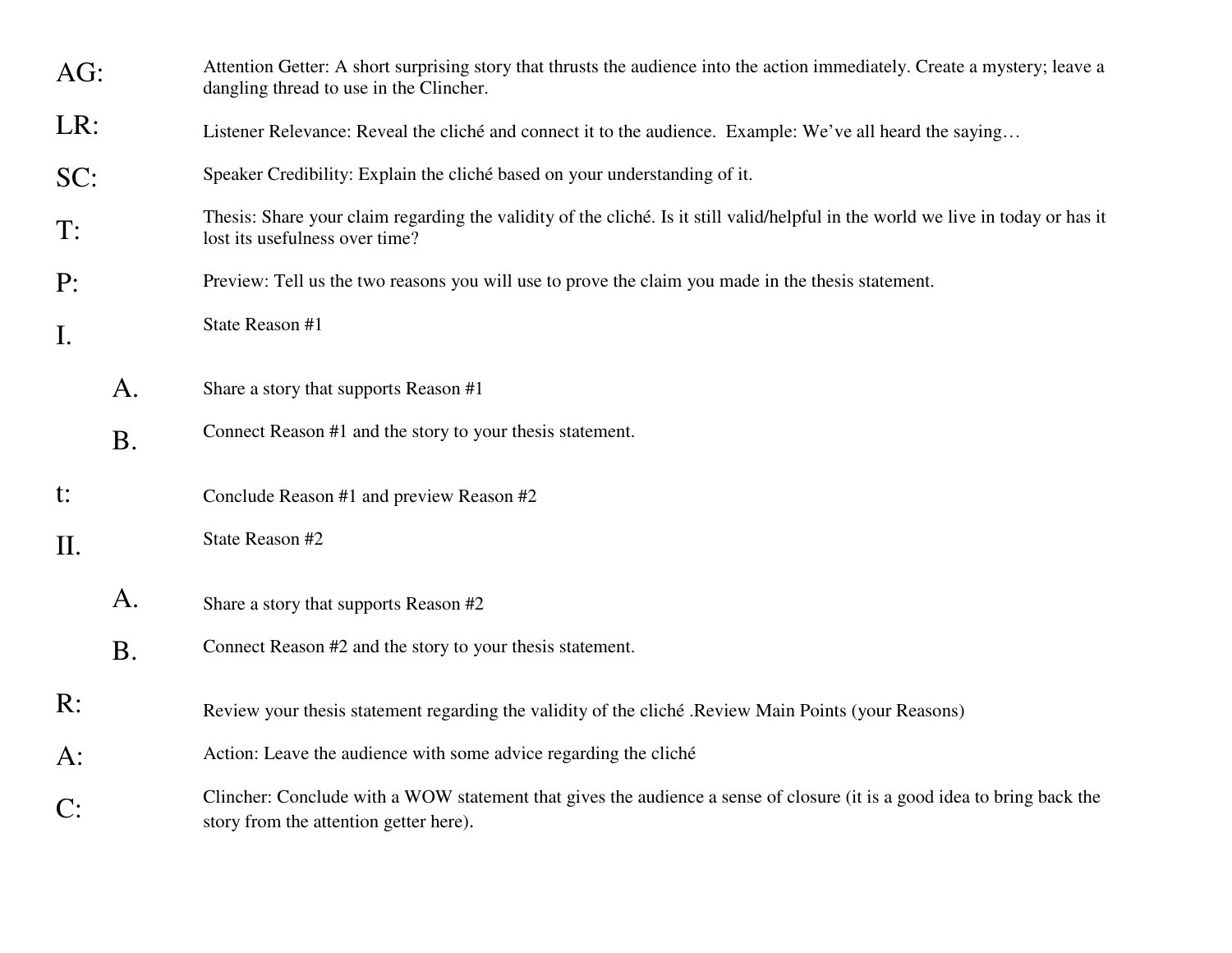| AG:       |           | Attention Getter: A short surprising story that thrusts the audience into the action immediately. Create a mystery; leave a<br>dangling thread to use in the Clincher. |
|-----------|-----------|------------------------------------------------------------------------------------------------------------------------------------------------------------------------|
| LR:       |           | Listener Relevance: Reveal the cliché and connect it to the audience. Example: We've all heard the saying                                                              |
| SC:       |           | Speaker Credibility: Explain the cliché based on your understanding of it.                                                                                             |
| T:        |           | Thesis: Share your claim regarding the validity of the cliché. Is it still valid/helpful in the world we live in today or has it<br>lost its usefulness over time?     |
| P:        |           | Preview: Tell us the two reasons you will use to prove the claim you made in the thesis statement.                                                                     |
| I.        |           | State Reason #1                                                                                                                                                        |
|           | A.        | Share a story that supports Reason #1                                                                                                                                  |
|           | <b>B.</b> | Connect Reason #1 and the story to your thesis statement.                                                                                                              |
| t:        |           | Conclude Reason #1 and preview Reason #2                                                                                                                               |
| $\prod$ . |           | State Reason #2                                                                                                                                                        |
|           | A.        | Share a story that supports Reason #2                                                                                                                                  |
|           | <b>B.</b> | Connect Reason #2 and the story to your thesis statement.                                                                                                              |
| R:        |           | Review your thesis statement regarding the validity of the cliché .Review Main Points (your Reasons)                                                                   |
| $A$ :     |           | Action: Leave the audience with some advice regarding the cliché                                                                                                       |
| C:        |           | Clincher: Conclude with a WOW statement that gives the audience a sense of closure (it is a good idea to bring back the<br>story from the attention getter here).      |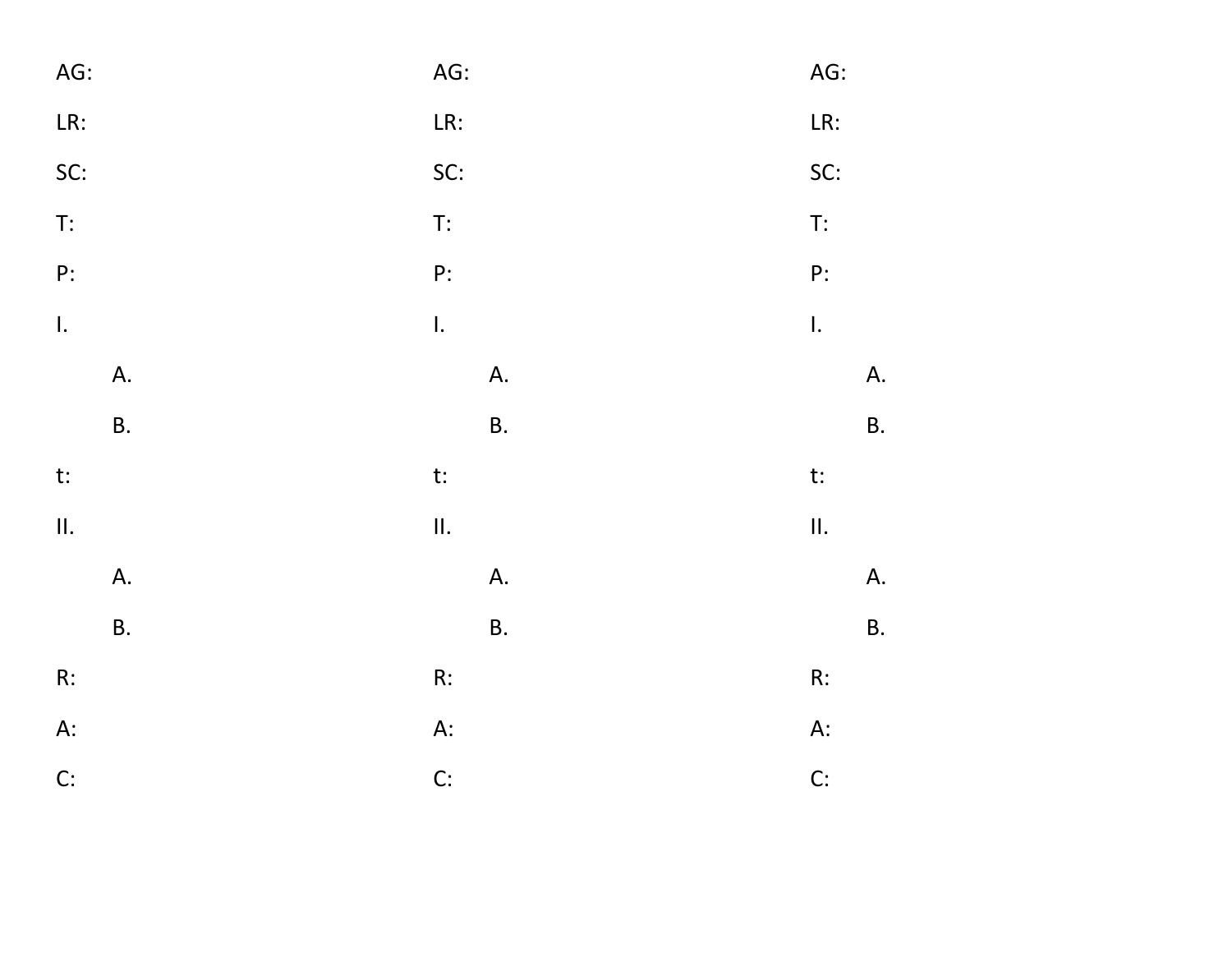| AG:             |           | AG:              |           | AG:             |           |
|-----------------|-----------|------------------|-----------|-----------------|-----------|
| LR:             |           | LR:              |           | LR:             |           |
| SC:             |           | SC:              |           | SC:             |           |
| $\mathsf{T}$ :  |           | $\mathsf{T}$ :   |           | $\mathsf{T}$ :  |           |
| P:              |           | P:               |           | P:              |           |
| $\mathsf{I}.$   |           | $\overline{I}$ . |           | $\mathbf{I}$ .  |           |
|                 | A.        |                  | Α.        |                 | А.        |
|                 | <b>B.</b> |                  | <b>B.</b> |                 | <b>B.</b> |
| $\mathsf{t}$ :  |           | $t$ :            |           | $t$ :           |           |
| $\mathbf{II}$ . |           | $\parallel$ .    |           | $\mathbf{II}$ . |           |
|                 | A.        |                  | А.        |                 | А.        |
|                 | <b>B.</b> |                  | <b>B.</b> |                 | <b>B.</b> |
| R:              |           | R:               |           | R:              |           |
| A:              |           | $A$ :            |           | $A$ :           |           |
| C:              |           | C:               |           | C:              |           |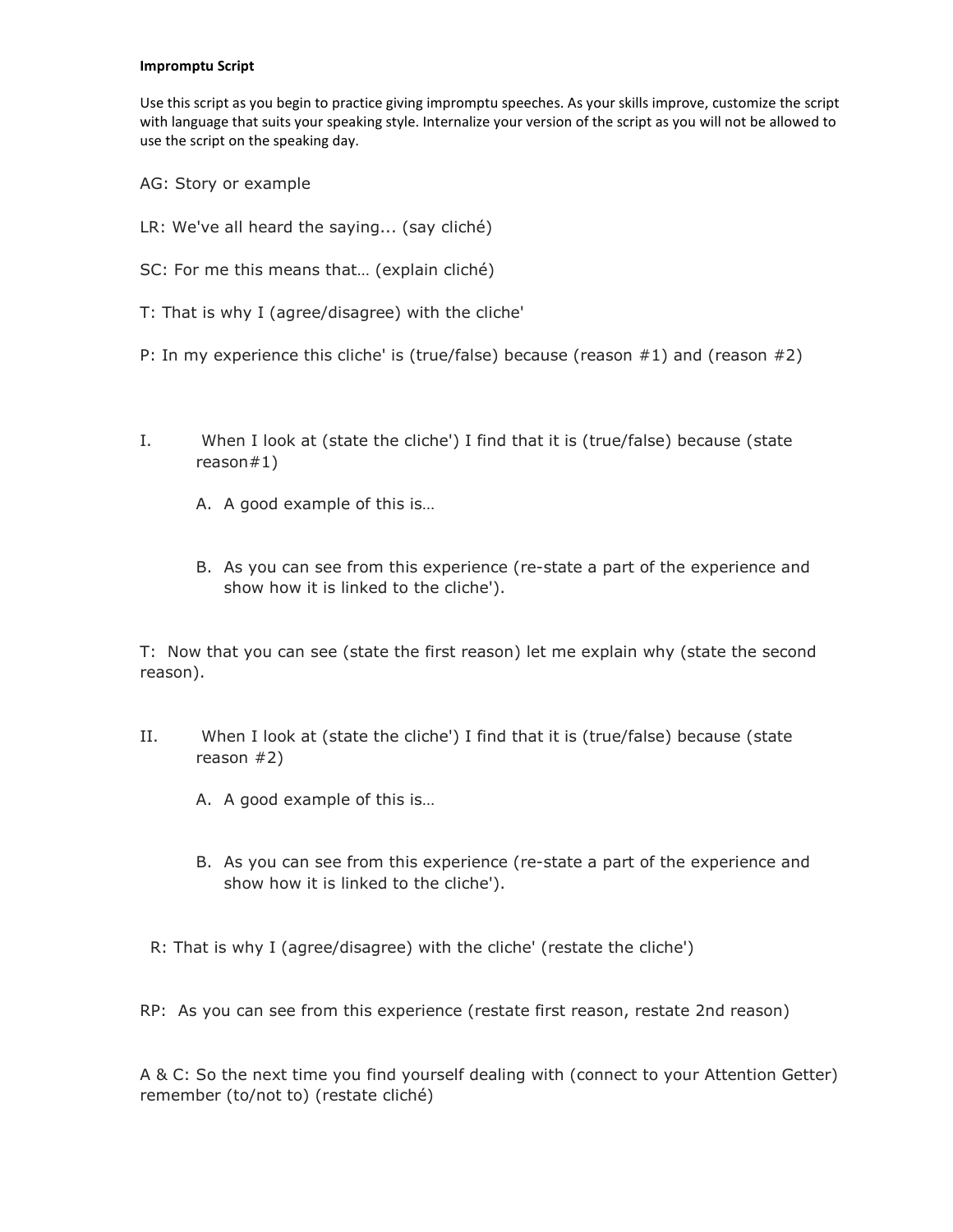#### Impromptu Script

Use this script as you begin to practice giving impromptu speeches. As your skills improve, customize the script with language that suits your speaking style. Internalize your version of the script as you will not be allowed to use the script on the speaking day.

- AG: Story or example
- LR: We've all heard the saying... (say cliché)
- SC: For me this means that… (explain cliché)
- T: That is why I (agree/disagree) with the cliche'
- P: In my experience this cliche' is (true/false) because (reason  $#1$ ) and (reason  $#2$ )
- I. When I look at (state the cliche') I find that it is (true/false) because (state reason#1)
	- A. A good example of this is…
	- B. As you can see from this experience (re-state a part of the experience and show how it is linked to the cliche').

T: Now that you can see (state the first reason) let me explain why (state the second reason).

- II. When I look at (state the cliche') I find that it is (true/false) because (state reason #2)
	- A. A good example of this is…
	- B. As you can see from this experience (re-state a part of the experience and show how it is linked to the cliche').
	- R: That is why I (agree/disagree) with the cliche' (restate the cliche')

RP: As you can see from this experience (restate first reason, restate 2nd reason)

A & C: So the next time you find yourself dealing with (connect to your Attention Getter) remember (to/not to) (restate cliché)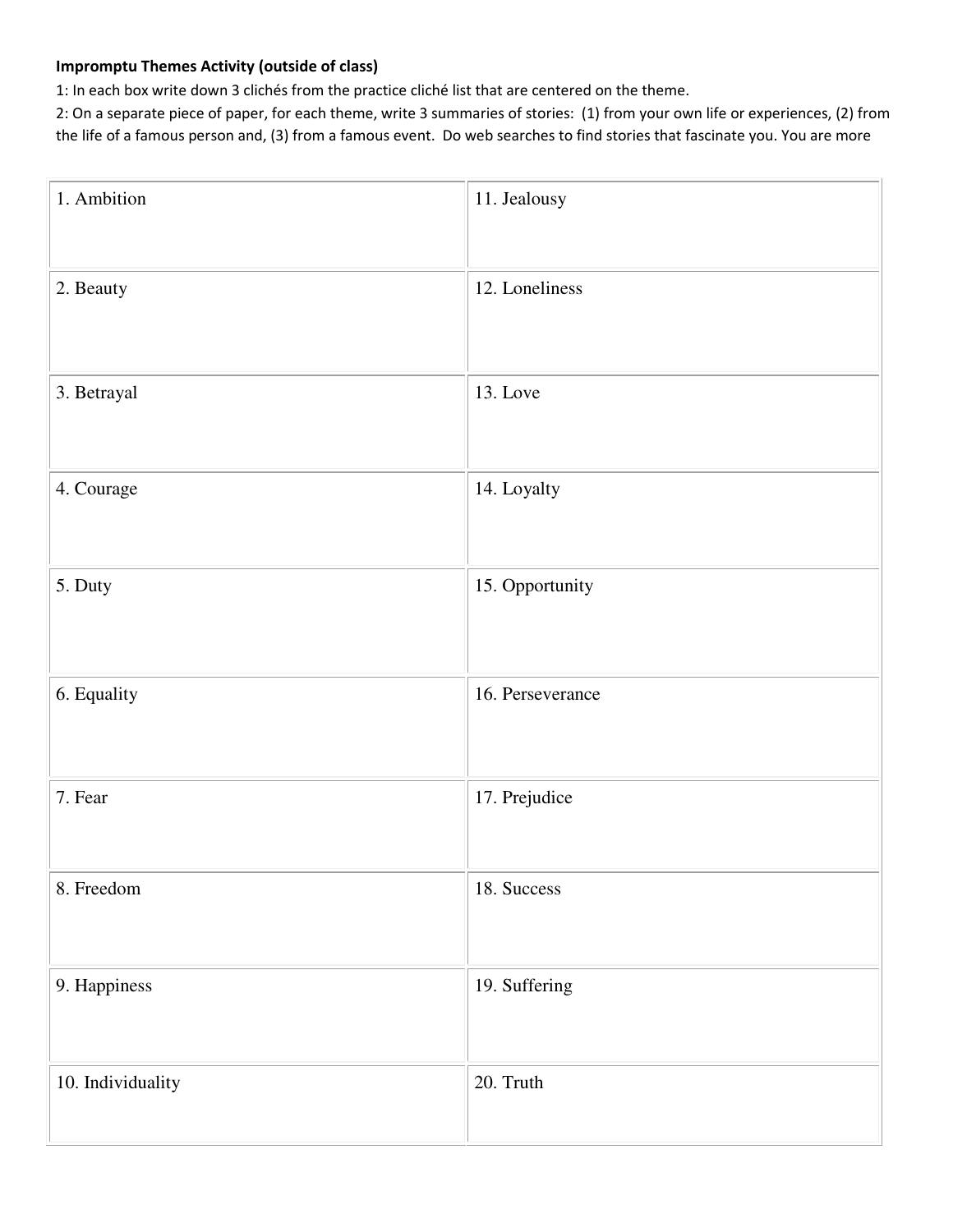# Impromptu Themes Activity (outside of class)

1: In each box write down 3 clichés from the practice cliché list that are centered on the theme.

2: On a separate piece of paper, for each theme, write 3 summaries of stories: (1) from your own life or experiences, (2) from the life of a famous person and, (3) from a famous event. Do web searches to find stories that fascinate you. You are more

| 1. Ambition       | 11. Jealousy     |
|-------------------|------------------|
| 2. Beauty         | 12. Loneliness   |
| 3. Betrayal       | 13. Love         |
| 4. Courage        | 14. Loyalty      |
| 5. Duty           | 15. Opportunity  |
| 6. Equality       | 16. Perseverance |
| 7. Fear           | 17. Prejudice    |
| 8. Freedom        | 18. Success      |
| 9. Happiness      | 19. Suffering    |
| 10. Individuality | 20. Truth        |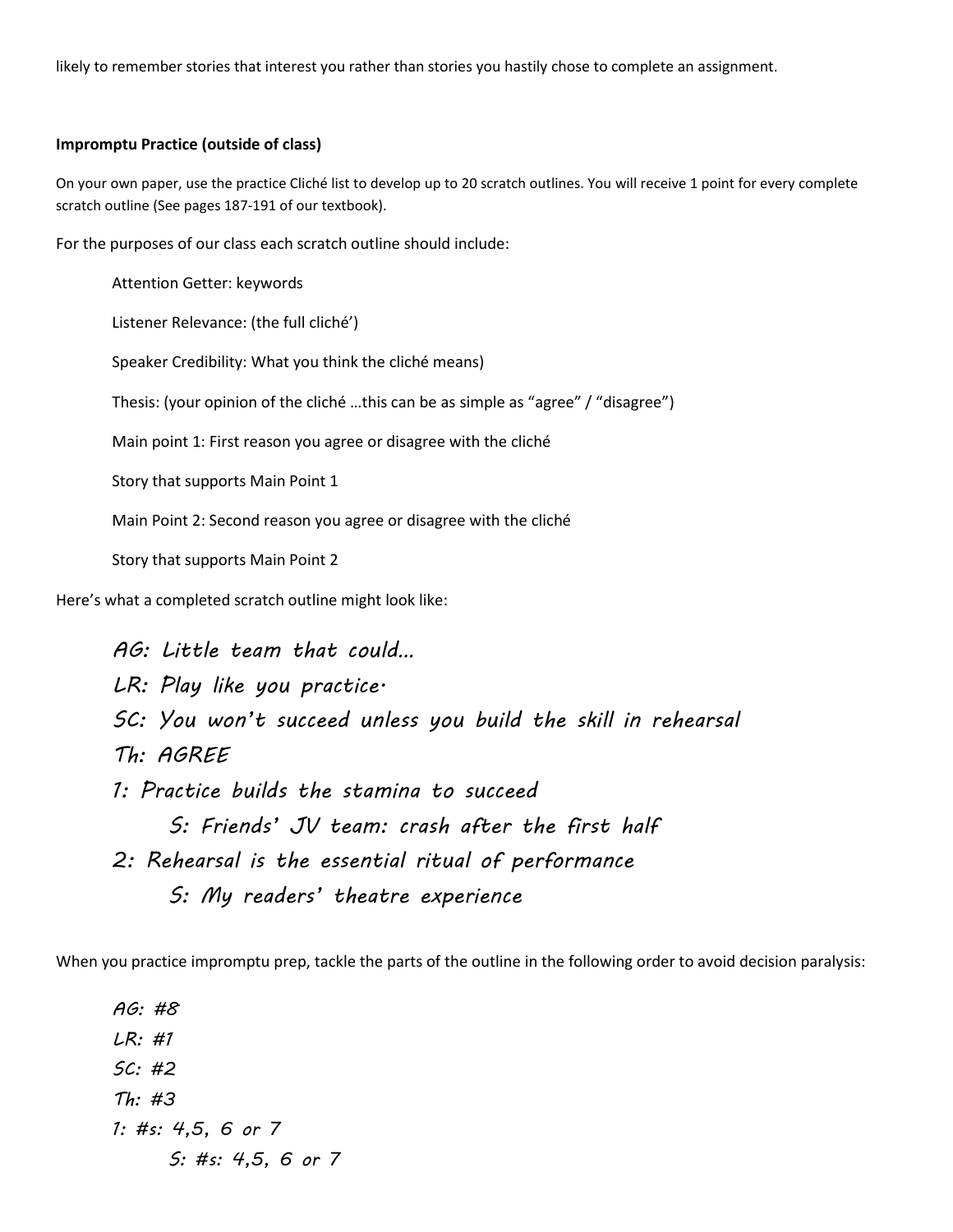likely to remember stories that interest you rather than stories you hastily chose to complete an assignment.

#### Impromptu Practice (outside of class)

On your own paper, use the practice Cliché list to develop up to 20 scratch outlines. You will receive 1 point for every complete scratch outline (See pages 187-191 of our textbook).

For the purposes of our class each scratch outline should include:

Attention Getter: keywords

Listener Relevance: (the full cliché')

Speaker Credibility: What you think the cliché means)

Thesis: (your opinion of the cliché …this can be as simple as "agree" / "disagree")

Main point 1: First reason you agree or disagree with the cliché

Story that supports Main Point 1

Main Point 2: Second reason you agree or disagree with the cliché

Story that supports Main Point 2

Here's what a completed scratch outline might look like:

AG: Little team that could… LR: Play like you practice. SC: You won't succeed unless you build the skill in rehearsal Th: AGREE 1: Practice builds the stamina to succeed S: Friends' JV team: crash after the first half 2: Rehearsal is the essential ritual of performance S: My readers' theatre experience

When you practice impromptu prep, tackle the parts of the outline in the following order to avoid decision paralysis:

AG: #8 LR: #1 SC: #2 Th: #3 1: #s: 4,5, 6 or 7 S: #s: 4,5, 6 or 7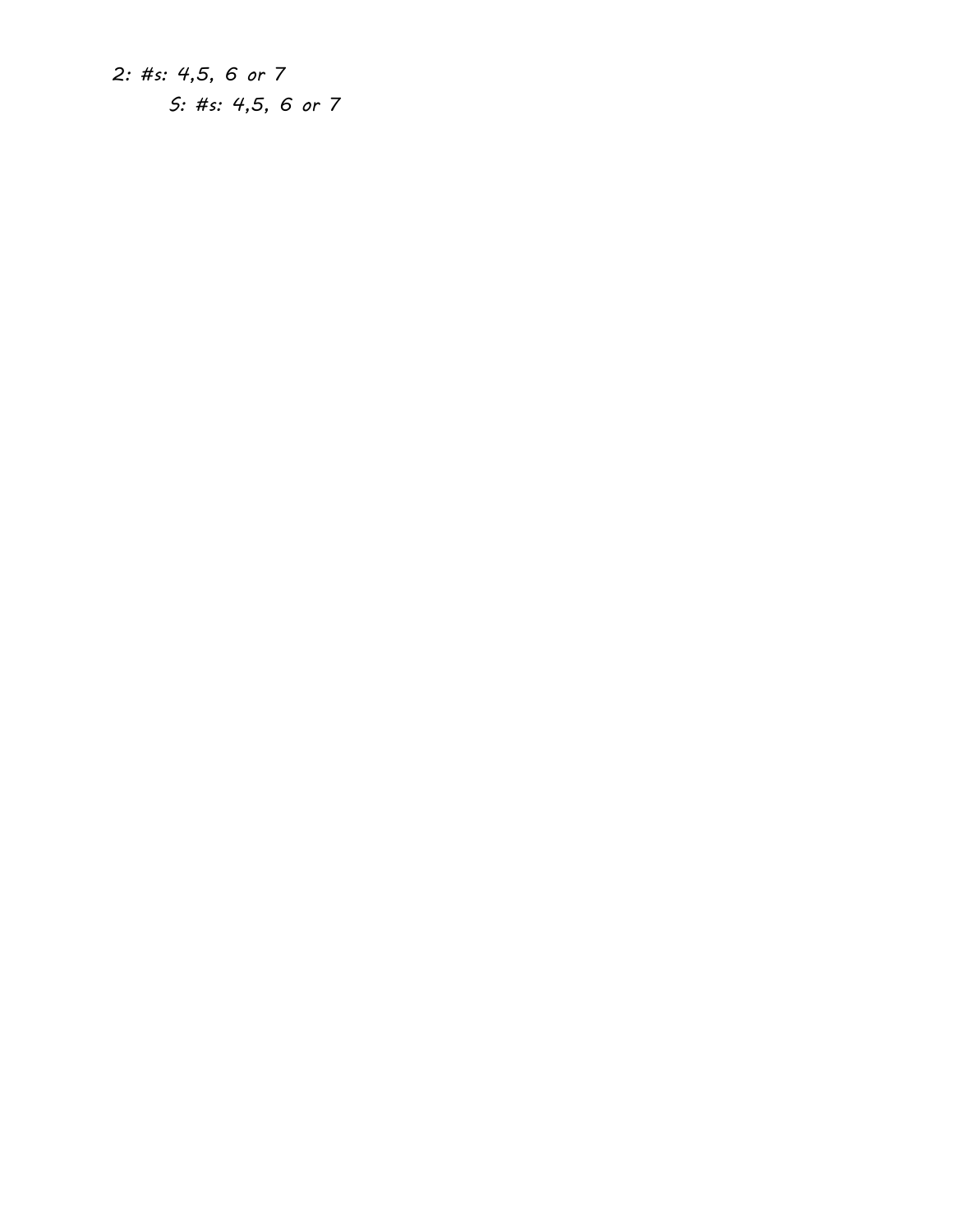2: #s: 4,5, 6 or 7

S: #s: 4,5, 6 or 7